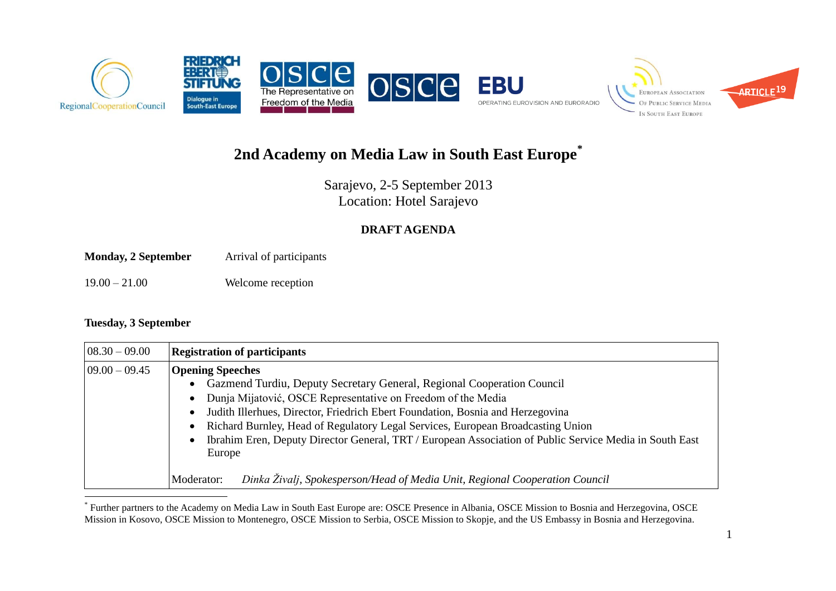

# **2nd Academy on Media Law in South East Europe\***

Sarajevo, 2-5 September 2013 Location: Hotel Sarajevo

### **DRAFT AGENDA**

**Monday, 2 September** Arrival of participants

19.00 – 21.00 Welcome reception

#### **Tuesday, 3 September**

 $\overline{a}$ 

| $08.30 - 09.00$   | <b>Registration of participants</b>                                                                                                                                                                                                                                                                                                                                                                                                                                                                                                                      |
|-------------------|----------------------------------------------------------------------------------------------------------------------------------------------------------------------------------------------------------------------------------------------------------------------------------------------------------------------------------------------------------------------------------------------------------------------------------------------------------------------------------------------------------------------------------------------------------|
| $ 09.00 - 09.45 $ | <b>Opening Speeches</b><br>Gazmend Turdiu, Deputy Secretary General, Regional Cooperation Council<br>Dunja Mijatović, OSCE Representative on Freedom of the Media<br>Judith Illerhues, Director, Friedrich Ebert Foundation, Bosnia and Herzegovina<br>Richard Burnley, Head of Regulatory Legal Services, European Broadcasting Union<br>Ibrahim Eren, Deputy Director General, TRT / European Association of Public Service Media in South East<br>Europe<br>Dinka Živalj, Spokesperson/Head of Media Unit, Regional Cooperation Council<br>Moderator: |

<sup>\*</sup> Further partners to the Academy on Media Law in South East Europe are: OSCE Presence in Albania, OSCE Mission to Bosnia and Herzegovina, OSCE Mission in Kosovo, OSCE Mission to Montenegro, OSCE Mission to Serbia, OSCE Mission to Skopje, and the US Embassy in Bosnia and Herzegovina.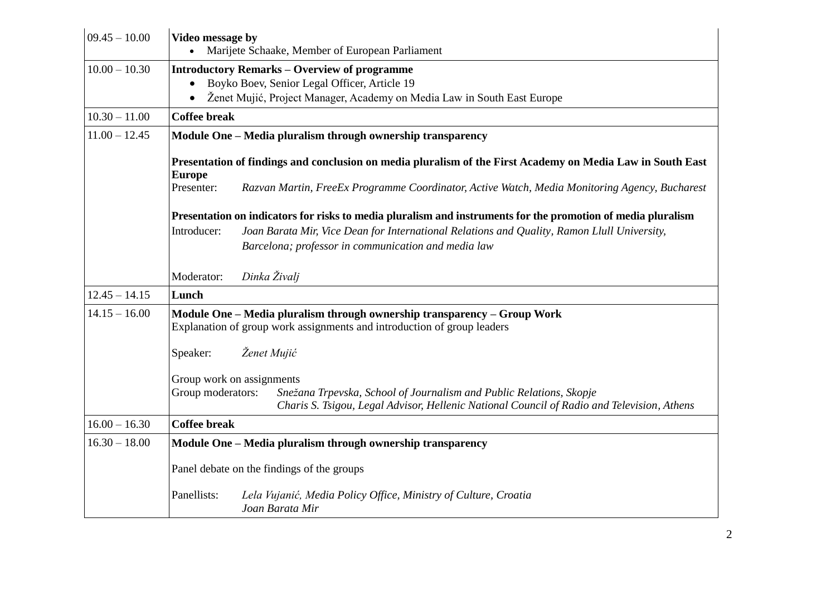| $09.45 - 10.00$ | Video message by<br>Marijete Schaake, Member of European Parliament                                                                                                                    |  |  |
|-----------------|----------------------------------------------------------------------------------------------------------------------------------------------------------------------------------------|--|--|
| $10.00 - 10.30$ | <b>Introductory Remarks – Overview of programme</b><br>Boyko Boev, Senior Legal Officer, Article 19<br>Ženet Mujić, Project Manager, Academy on Media Law in South East Europe         |  |  |
| $10.30 - 11.00$ | <b>Coffee break</b>                                                                                                                                                                    |  |  |
| $11.00 - 12.45$ | Module One - Media pluralism through ownership transparency                                                                                                                            |  |  |
|                 | Presentation of findings and conclusion on media pluralism of the First Academy on Media Law in South East<br><b>Europe</b>                                                            |  |  |
|                 | Razvan Martin, FreeEx Programme Coordinator, Active Watch, Media Monitoring Agency, Bucharest<br>Presenter:                                                                            |  |  |
|                 | Presentation on indicators for risks to media pluralism and instruments for the promotion of media pluralism                                                                           |  |  |
|                 | Introducer:<br>Joan Barata Mir, Vice Dean for International Relations and Quality, Ramon Llull University,                                                                             |  |  |
|                 | Barcelona; professor in communication and media law                                                                                                                                    |  |  |
|                 | Dinka Živalj<br>Moderator:                                                                                                                                                             |  |  |
| $12.45 - 14.15$ | Lunch                                                                                                                                                                                  |  |  |
| $14.15 - 16.00$ | Module One - Media pluralism through ownership transparency - Group Work<br>Explanation of group work assignments and introduction of group leaders                                    |  |  |
|                 | Ženet Mujić<br>Speaker:                                                                                                                                                                |  |  |
|                 | Group work on assignments                                                                                                                                                              |  |  |
|                 | Group moderators:<br>Snežana Trpevska, School of Journalism and Public Relations, Skopje<br>Charis S. Tsigou, Legal Advisor, Hellenic National Council of Radio and Television, Athens |  |  |
| $16.00 - 16.30$ | <b>Coffee break</b>                                                                                                                                                                    |  |  |
| $16.30 - 18.00$ | Module One - Media pluralism through ownership transparency                                                                                                                            |  |  |
|                 | Panel debate on the findings of the groups                                                                                                                                             |  |  |
|                 | Panellists:<br>Lela Vujanić, Media Policy Office, Ministry of Culture, Croatia<br>Joan Barata Mir                                                                                      |  |  |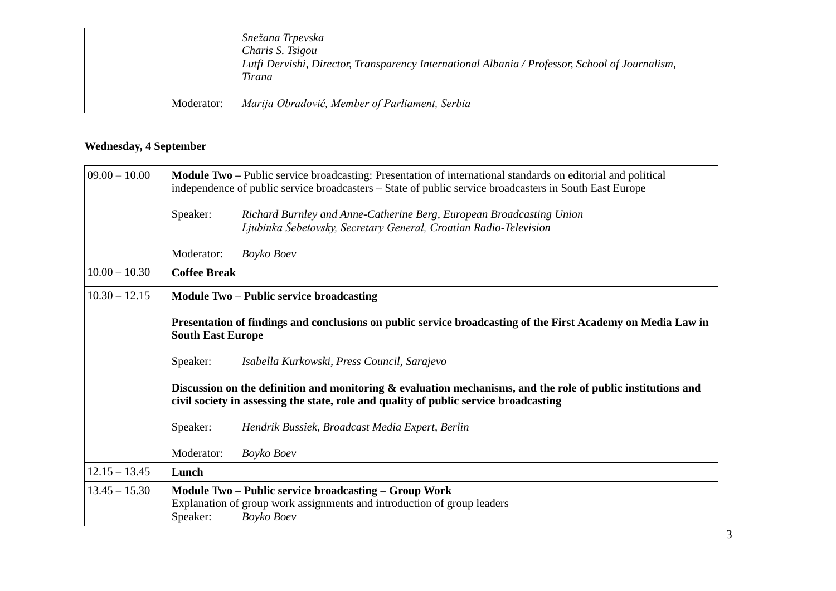|            | Snežana Trpevska<br>Charis S. Tsigou<br>Lutfi Dervishi, Director, Transparency International Albania / Professor, School of Journalism,<br>Tirana |
|------------|---------------------------------------------------------------------------------------------------------------------------------------------------|
| Moderator: | Marija Obradović, Member of Parliament, Serbia                                                                                                    |

### **Wednesday, 4 September**

| $09.00 - 10.00$ | <b>Module Two</b> – Public service broadcasting: Presentation of international standards on editorial and political<br>independence of public service broadcasters – State of public service broadcasters in South East Europe |                                                                                                                                                       |  |
|-----------------|--------------------------------------------------------------------------------------------------------------------------------------------------------------------------------------------------------------------------------|-------------------------------------------------------------------------------------------------------------------------------------------------------|--|
|                 | Speaker:                                                                                                                                                                                                                       | Richard Burnley and Anne-Catherine Berg, European Broadcasting Union<br>Ljubinka Šebetovsky, Secretary General, Croatian Radio-Television             |  |
|                 | Moderator:                                                                                                                                                                                                                     | Boyko Boev                                                                                                                                            |  |
| $10.00 - 10.30$ | <b>Coffee Break</b>                                                                                                                                                                                                            |                                                                                                                                                       |  |
| $10.30 - 12.15$ | <b>Module Two - Public service broadcasting</b><br>Presentation of findings and conclusions on public service broadcasting of the First Academy on Media Law in<br><b>South East Europe</b>                                    |                                                                                                                                                       |  |
|                 |                                                                                                                                                                                                                                |                                                                                                                                                       |  |
|                 | Speaker:                                                                                                                                                                                                                       | Isabella Kurkowski, Press Council, Sarajevo                                                                                                           |  |
|                 | Discussion on the definition and monitoring $\&$ evaluation mechanisms, and the role of public institutions and<br>civil society in assessing the state, role and quality of public service broadcasting                       |                                                                                                                                                       |  |
|                 | Speaker:                                                                                                                                                                                                                       | Hendrik Bussiek, Broadcast Media Expert, Berlin                                                                                                       |  |
|                 | Moderator:                                                                                                                                                                                                                     | Boyko Boev                                                                                                                                            |  |
| $12.15 - 13.45$ | Lunch                                                                                                                                                                                                                          |                                                                                                                                                       |  |
| $13.45 - 15.30$ | Speaker:                                                                                                                                                                                                                       | <b>Module Two – Public service broadcasting – Group Work</b><br>Explanation of group work assignments and introduction of group leaders<br>Boyko Boev |  |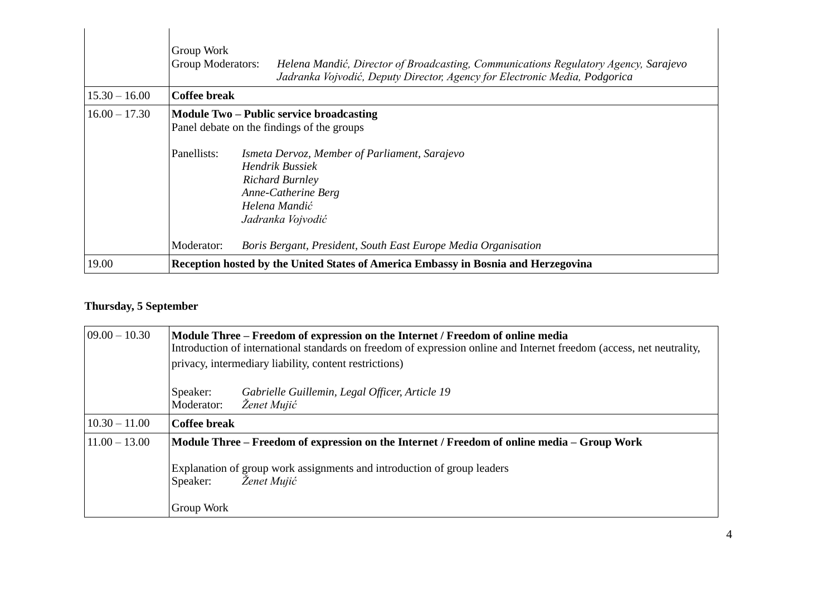|                 | Group Work<br>Group Moderators:<br>Helena Mandić, Director of Broadcasting, Communications Regulatory Agency, Sarajevo<br>Jadranka Vojvodić, Deputy Director, Agency for Electronic Media, Podgorica                                                                    |  |
|-----------------|-------------------------------------------------------------------------------------------------------------------------------------------------------------------------------------------------------------------------------------------------------------------------|--|
| $15.30 - 16.00$ | <b>Coffee break</b>                                                                                                                                                                                                                                                     |  |
| $16.00 - 17.30$ | <b>Module Two – Public service broadcasting</b><br>Panel debate on the findings of the groups<br>Panellists:<br>Ismeta Dervoz, Member of Parliament, Sarajevo<br>Hendrik Bussiek<br><b>Richard Burnley</b><br>Anne-Catherine Berg<br>Helena Mandić<br>Jadranka Vojvodić |  |
| 19.00           | Moderator:<br>Boris Bergant, President, South East Europe Media Organisation<br>Reception hosted by the United States of America Embassy in Bosnia and Herzegovina                                                                                                      |  |

## **Thursday, 5 September**

| $09.00 - 10.30$ | Module Three – Freedom of expression on the Internet / Freedom of online media<br>Introduction of international standards on freedom of expression online and Internet freedom (access, net neutrality,<br>privacy, intermediary liability, content restrictions) |  |
|-----------------|-------------------------------------------------------------------------------------------------------------------------------------------------------------------------------------------------------------------------------------------------------------------|--|
|                 | Gabrielle Guillemin, Legal Officer, Article 19<br>Speaker:<br>Ženet Mujić<br>Moderator:                                                                                                                                                                           |  |
| $10.30 - 11.00$ | <b>Coffee break</b>                                                                                                                                                                                                                                               |  |
| $11.00 - 13.00$ | Module Three – Freedom of expression on the Internet / Freedom of online media – Group Work                                                                                                                                                                       |  |
|                 | Explanation of group work assignments and introduction of group leaders<br>Ženet Mujić<br>Speaker:                                                                                                                                                                |  |
|                 | Group Work                                                                                                                                                                                                                                                        |  |